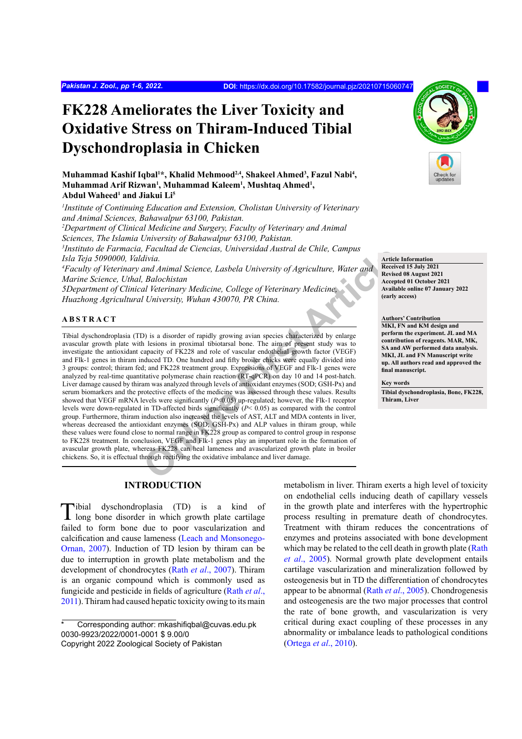# **FK228 Ameliorates the Liver Toxicity and Oxidative Stress on Thiram-Induced Tibial Dyschondroplasia in Chicken**

Muhammad Kashif Iqbal<sup>1</sup>\*, Khalid Mehmood<sup>2,4</sup>, Shakeel Ahmed<sup>3</sup>, Fazul Nabi<sup>4</sup>, Muhammad Arif Rizwan<sup>1</sup>, Muhammad Kaleem<sup>1</sup>, Mushtaq Ahmed<sup>1</sup>, **Abdul Waheed1 and Jiakui Li5**

*1 Institute of Continuing Education and Extension, Cholistan University of Veterinary and Animal Sciences, Bahawalpur 63100, Pakistan.*

*2 Department of Clinical Medicine and Surgery, Faculty of Veterinary and Animal Sciences, The Islamia University of Bahawalpur 63100, Pakistan.*

*3 Instituto de Farmacia, Facultad de Ciencias, Universidad Austral de Chile, Campus Isla Teja 5090000, Valdivia.*

*4 Faculty of Veterinary and Animal Science, Lasbela University of Agriculture, Water and Marine Science, Uthal, Balochistan*

*5Department of Clinical Veterinary Medicine, College of Veterinary Medicine, Huazhong Agricultural University, Wuhan 430070, PR China.*

#### **ABSTRACT**

*r* accurate de Centras, onversuand Austral de Chine, Campus<br> *China Animal Science, Lasbela University of Agriculture, Water and<br>
<i>China Animal Science, College of Veterinary Medicine*<br> *College of Veterinary Medicine*<br> Tibial dyschondroplasia (TD) is a disorder of rapidly growing avian species characterized by enlarge avascular growth plate with lesions in proximal tibiotarsal bone. The aim of present study was to investigate the antioxidant capacity of FK228 and role of vascular endothelial growth factor (VEGF) and Flk-1 genes in thiram induced TD. One hundred and fifty broiler chicks were equally divided into 3 groups: control; thiram fed; and FK228 treatment group. Expressions of VEGF and Flk-1 genes were analyzed by real-time quantitative polymerase chain reaction (RT**-**qPCR) on day 10 and 14 post-hatch. Liver damage caused by thiram was analyzed through levels of antioxidant enzymes (SOD; GSH-Px) and serum biomarkers and the protective effects of the medicine was assessed through these values. Results showed that VEGF mRNA levels were significantly (*P*<0.05) up-regulated; however, the Flk-1 receptor levels were down-regulated in TD-affected birds significantly (*P*< 0.05) as compared with the control group. Furthermore, thiram induction also increased the levels of AST, ALT and MDA contents in liver, whereas decreased the antioxidant enzymes (SOD; GSH-Px) and ALP values in thiram group, while these values were found close to normal range in FK228 group as compared to control group in response to FK228 treatment. In conclusion, VEGF and Flk-1 genes play an important role in the formation of avascular growth plate, whereas FK228 can heal lameness and avascularized growth plate in broiler chickens. So, it is effectual through rectifying the oxidative imbalance and liver damage.

# **INTRODUCTION**

Tibial dyschondroplasia (TD) is <sup>a</sup> kind of long bone disorder in which growth plate cartilage failed to form bone due to poor vascularization and calcification and cause lameness ([Leach and Monsonego-](#page-4-0)[Ornan, 2007](#page-4-0)). Induction of TD lesion by thiram can be due to interruption in growth plate metabolism and the development of chondrocytes (Rath *et al*[., 2007](#page-5-0)). Thiram is an organic compound which is commonly used as fungicide and pesticide in fields of agriculture ([Rath](#page-5-1) *et al*., [2011](#page-5-1)). Thiram had caused hepatic toxicity owing to its main

Corresponding author: mkashifiqbal@cuvas.edu.pk 0030-9923/2022/0001-0001 \$ 9.00/0

metabolism in liver. Thiram exerts a high level of toxicity on endothelial cells inducing death of capillary vessels in the growth plate and interferes with the hypertrophic process resulting in premature death of chondrocytes. Treatment with thiram reduces the concentrations of enzymes and proteins associated with bone development which may be related to the cell death in growth plate ([Rath](#page-5-2) *et al*[., 2005\)](#page-5-2). Normal growth plate development entails cartilage vascularization and mineralization followed by osteogenesis but in TD the differentiation of chondrocytes appear to be abnormal (Rath *et al*[., 2005\)](#page-5-2). Chondrogenesis and osteogenesis are the two major processes that control the rate of bone growth, and vascularization is very critical during exact coupling of these processes in any abnormality or imbalance leads to pathological conditions [\(Ortega](#page-5-3) *et al*., 2010).

**Article Information Received 15 July 2021 Revised 08 August 2021 Accepted 01 October 2021 Available online 07 January 2022 (early access)**

**Authors' Contribution MKI, FN and KM design and perform the experiment. JL and MA contribution of reagents. MAR, MK, SA and AW performed data analysis. MKI, JL and FN Manuscript write up. All authors read and approved the final manuscript.**

#### **Key words**

**Tibial dyschondroplasia, Bone, FK228, Thiram, Liver**



Copyright 2022 Zoological Society of Pakistan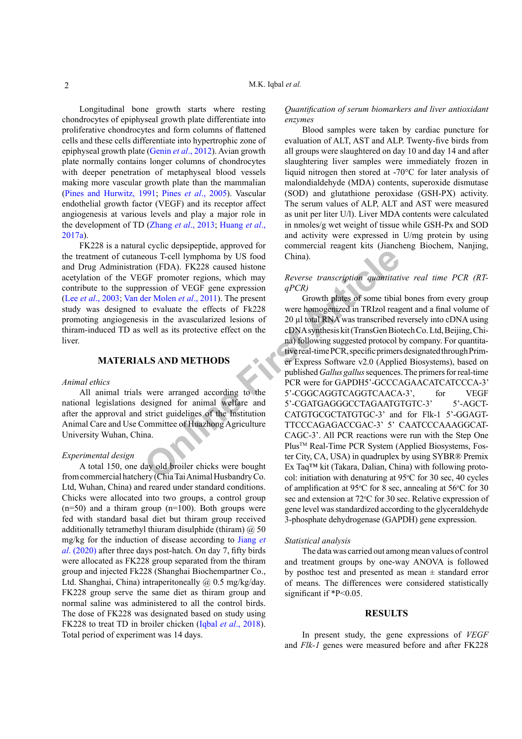Longitudinal bone growth starts where resting chondrocytes of epiphyseal growth plate differentiate into proliferative chondrocytes and form columns of flattened cells and these cells differentiate into hypertrophic zone of epiphyseal growth plate (Genin *et al*[., 2012\)](#page-4-1). Avian growth plate normally contains longer columns of chondrocytes with deeper penetration of metaphyseal blood vessels making more vascular growth plate than the mammalian ([Pines and Hurwitz, 1991](#page-5-4); Pines *et al*.[, 2005](#page-5-5)). Vascular endothelial growth factor (VEGF) and its receptor affect angiogenesis at various levels and play a major role in the development of TD ([Zhang](#page-5-6) *et al*., 2013; [Huang](#page-4-2) *et al*., [2017a](#page-4-2)).

FK228 is a natural cyclic depsipeptide, approved for the treatment of cutaneous T-cell lymphoma by US food and Drug Administration (FDA). FK228 caused histone acetylation of the VEGF promoter regions, which may contribute to the suppression of VEGF gene expression (Lee *et al*[., 2003](#page-4-3); Van der Molen *et al*., 2011). The present study was designed to evaluate the effects of Fk228 promoting angiogenesis in the avascularized lesions of thiram-induced TD as well as its protective effect on the liver.

# **MATERIALS AND METHODS**

#### *Animal ethics*

All animal trials were arranged according to the national legislations designed for animal welfare and after the approval and strict guidelines of the Institution Animal Care and Use Committee of Huazhong Agriculture University Wuhan, China.

#### *Experimental design*

A total 150, one day old broiler chicks were bought from commercial hatchery (Chia Tai Animal Husbandry Co. Ltd, Wuhan, China) and reared under standard conditions. Chicks were allocated into two groups, a control group  $(n=50)$  and a thiram group  $(n=100)$ . Both groups were fed with standard basal diet but thiram group received additionally tetramethyl thiuram disulphide (thiram)  $\omega$  50 mg/kg for the induction of disease according to [Jiang](#page-4-4) *et al*[. \(2020\)](#page-4-4) after three days post-hatch. On day 7, fifty birds were allocated as FK228 group separated from the thiram group and injected Fk228 (Shanghai Biochempartner Co., Ltd. Shanghai, China) intraperitoneally @ 0.5 mg/kg/day. FK228 group serve the same diet as thiram group and normal saline was administered to all the control birds. The dose of FK228 was designated based on study using FK228 to treat TD in broiler chicken (Iqbal *et al*[., 2018](#page-4-5)). Total period of experiment was 14 days.

*Quantification of serum biomarkers and liver antioxidant enzymes* 

Blood samples were taken by cardiac puncture for evaluation of ALT, AST and ALP. Twenty-five birds from all groups were slaughtered on day 10 and day 14 and after slaughtering liver samples were immediately frozen in liquid nitrogen then stored at -70°C for later analysis of malondialdehyde (MDA) contents, superoxide dismutase (SOD) and glutathione peroxidase (GSH-PX) activity. The serum values of ALP, ALT and AST were measured as unit per liter U/l). Liver MDA contents were calculated in nmoles/g wet weight of tissue while GSH-Px and SOD and activity were expressed in U/mg protein by using commercial reagent kits (Jiancheng Biochem, Nanjing, China).

# *Reverse transcription quantitative real time PCR (RTqPCR)*

**CONFIDENTIFY ART ARTS ART CONFIDENTIFY ART CONGONATION**<br>
SIGNAL PROPURAL PROPURAL PROPURAL PROPURATION (FDA). FK228 caused histone<br>
EF promoter regions, which may *Reverse transcription quantitati*<br>
(GF promoter regions, Growth plates of some tibial bones from every group were homogenized in TRIzol reagent and a final volume of 20 µl total RNA was transcribed reversely into cDNA using cDNA synthesis kit (TransGen Biotech Co. Ltd, Beijing, China) following suggested protocol by company. For quantitative real-time PCR, specific primers designated through Primer Express Software v2.0 (Applied Biosystems), based on published *Gallus gallus* sequences. The primers for real-time PCR were for GAPDH5'-GCCCAGAACATCATCCCA-3' 5'-CGGCAGGTCAGGTCAACA-3', for VEGF 5'-CGATGAGGGCCTAGAATGTGTC-3' 5'-AGCT-CATGTGCGCTATGTGC-3' and for Flk-1 5'-GGAGT-TTCCCAGAGACCGAC-3' 5' CAATCCCAAAGGCAT-CAGC-3'. All PCR reactions were run with the Step One Plus<sup>™</sup> Real-Time PCR System (Applied Biosystems, Foster City, CA, USA) in quadruplex by using SYBR® Premix Ex Taq™ kit (Takara, Dalian, China) with following protocol: initiation with denaturing at  $95^{\circ}$ C for 30 sec, 40 cycles of amplification at 95°C for 8 sec, annealing at 56°C for 30 sec and extension at 72°C for 30 sec. Relative expression of gene level was standardized according to the glyceraldehyde 3-phosphate dehydrogenase (GAPDH) gene expression.

#### *Statistical analysis*

The data was carried out among mean values of control and treatment groups by one-way ANOVA is followed by posthoc test and presented as mean  $\pm$  standard error of means. The differences were considered statistically significant if \*P<0.05.

# **RESULTS**

In present study, the gene expressions of *VEGF* and *Flk-1* genes were measured before and after FK228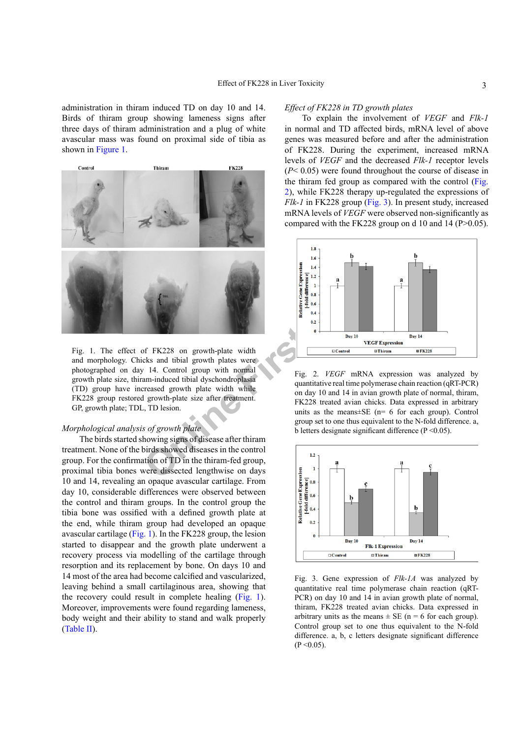administration in thiram induced TD on day 10 and 14. Birds of thiram group showing lameness signs after three days of thiram administration and a plug of white avascular mass was found on proximal side of tibia as shown in [Figure 1](#page-2-0).



<span id="page-2-0"></span>Fig. 1. The effect of FK228 on growth-plate width and morphology. Chicks and tibial growth plates were photographed on day 14. Control group with normal growth plate size, thiram-induced tibial dyschondroplasia (TD) group have increased growth plate width while FK228 group restored growth-plate size after treatment. GP, growth plate; TDL, TD lesion.

# *Morphological analysis of growth plate*

The birds started showing signs of disease after thiram treatment. None of the birds showed diseases in the control group. For the confirmation of TD in the thiram-fed group, proximal tibia bones were dissected lengthwise on days 10 and 14, revealing an opaque avascular cartilage. From day 10, considerable differences were observed between the control and thiram groups. In the control group the tibia bone was ossified with a defined growth plate at the end, while thiram group had developed an opaque avascular cartilage ([Fig. 1](#page-2-0)). In the FK228 group, the lesion started to disappear and the growth plate underwent a recovery process via modelling of the cartilage through resorption and its replacement by bone. On days 10 and 14 most of the area had become calcified and vascularized, leaving behind a small cartilaginous area, showing that the recovery could result in complete healing ([Fig. 1](#page-2-0)). Moreover, improvements were found regarding lameness, body weight and their ability to stand and walk properly [\(Table II](#page-3-0)).

#### *Effect of FK228 in TD growth plates*

To explain the involvement of *VEGF* and *Flk-1* in normal and TD affected birds, mRNA level of above genes was measured before and after the administration of FK228. During the experiment, increased mRNA levels of *VEGF* and the decreased *Flk-1* receptor levels (*P*< 0.05) were found throughout the course of disease in the thiram fed group as compared with the control [\(Fig.](#page-2-1) [2](#page-2-1)), while FK228 therapy up-regulated the expressions of *Flk-1* in FK228 group [\(Fig. 3](#page-2-2)). In present study, increased mRNA levels of *VEGF* were observed non-significantly as compared with the FK228 group on d 10 and 14 (P>0.05).



<span id="page-2-1"></span>Fig. 2. *VEGF* mRNA expression was analyzed by quantitative real time polymerase chain reaction (qRT-PCR) on day 10 and 14 in avian growth plate of normal, thiram, FK228 treated avian chicks. Data expressed in arbitrary units as the means $\pm$ SE (n= 6 for each group). Control group set to one thus equivalent to the N-fold difference. a, b letters designate significant difference  $(P < 0.05)$ .



<span id="page-2-2"></span>Fig. 3. Gene expression of *Flk-1A* was analyzed by quantitative real time polymerase chain reaction (qRT-PCR) on day 10 and 14 in avian growth plate of normal, thiram, FK228 treated avian chicks. Data expressed in arbitrary units as the means  $\pm$  SE (n = 6 for each group). Control group set to one thus equivalent to the N-fold difference. a, b, c letters designate significant difference  $(P < 0.05)$ .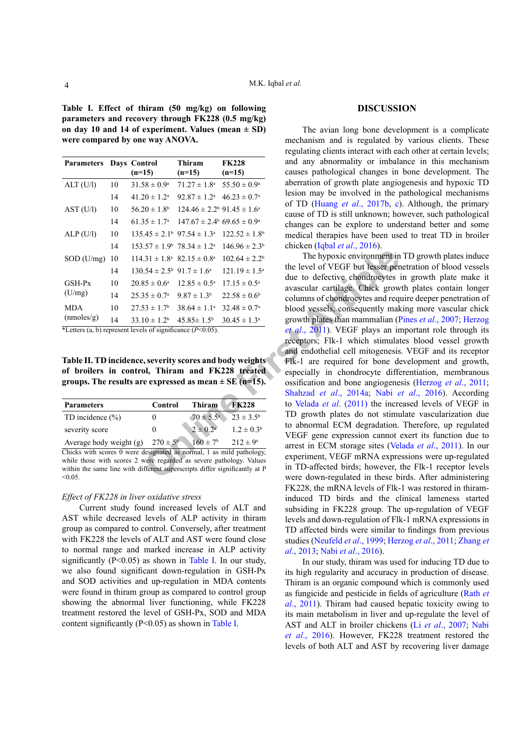<span id="page-3-1"></span>**Table I. Effect of thiram (50 mg/kg) on following parameters and recovery through FK228 (0.5 mg/kg) on day 10 and 14 of experiment. Values (mean ± SD) were compared by one way ANOVA.**

| <b>Parameters</b>                                         |    | Days Control<br>$(n=15)$                              | Thiram<br>$(n=15)$                               | <b>FK228</b><br>$(n=15)$ |
|-----------------------------------------------------------|----|-------------------------------------------------------|--------------------------------------------------|--------------------------|
| ALT (U/I)                                                 | 10 | $31.58 \pm 0.9^{\circ}$                               | $71.27 \pm 1.8^{\text{a}}$                       | $55.50 \pm 0.9^{\circ}$  |
|                                                           | 14 | $41.20 \pm 1.2^{\text{a}}$                            | $92.87 \pm 1.2^{\text{a}}$                       | $46.23 \pm 0.7^{\rm a}$  |
| AST (U/I)                                                 | 10 | $56.20 \pm 1.8^{\rm b}$                               | $124.46 \pm 2.2^{\circ}$ 91.45 $\pm 1.6^{\circ}$ |                          |
|                                                           | 14 | $61.35 \pm 1.7^{\circ}$                               | $147.67 \pm 2.4^{\circ} 69.65 \pm 0.9^{\circ}$   |                          |
| ALP(U/I)                                                  | 10 | $135.45 \pm 2.1^{\circ}$ 97.54 $\pm$ 1.3 <sup>a</sup> |                                                  | $122.52 \pm 1.8^b$       |
|                                                           | 14 | $153.57 \pm 1.9^{\circ}$ 78.34 $\pm 1.2^{\circ}$      |                                                  | $146.96 \pm 2.3^b$       |
| $SOD$ (U/mg)                                              | 10 | $114.31 \pm 1.8^{\circ}$                              | $82.15 \pm 0.8^{\text{a}}$                       | $102.64 \pm 2.2^b$       |
|                                                           | 14 | $130.54 \pm 2.5^{\circ}$ 91.7 $\pm$ 1.6 <sup>a</sup>  |                                                  | $121.19 \pm 1.5^{\circ}$ |
| GSH-Px<br>(U/mg)                                          | 10 | $20.85 \pm 0.6^{\circ}$                               | $12.85 \pm 0.5^{\circ}$                          | $17.15 \pm 0.5^{\circ}$  |
|                                                           | 14 | $25.35 \pm 0.7^{\circ}$                               | $9.87 \pm 1.3^b$                                 | $22.58 \pm 0.6^b$        |
| <b>MDA</b><br>(mmoles/g)<br>and the state of the state of | 10 | $27.53 \pm 1.7$ <sup>b</sup>                          | $38.64 \pm 1.1^{\circ}$                          | $32.48 \pm 0.7^{\circ}$  |
|                                                           | 14 | $33.10 \pm 1.2^b$                                     | $45.85 \pm 1.5^{\rm b}$                          | $30.45 \pm 1.3^a$        |

\*Letters (a, b) represent levels of significance (*P*<0.05).

<span id="page-3-0"></span>**Table II. TD incidence, severity scores and body weights of broilers in control, Thiram and FK228 treated groups. The results are expressed as mean ± SE (n=15).**

| <b>Parameters</b>         | Control             | Thiram               | <b>FK228</b>         |
|---------------------------|---------------------|----------------------|----------------------|
| TD incidence $(\% )$      | 0                   | $70 \pm 5.5^{\circ}$ | $23 \pm 3.5^{\rm b}$ |
| severity score            | $_{0}$              | $2 \pm 0.2^{\circ}$  | $1.2 \pm 0.3^b$      |
| Average body weight $(g)$ | $270 \pm 5^{\rm a}$ | $160 \pm 7^{\rm b}$  | $212 \pm 9^a$        |

Chicks with scores 0 were designated as normal, 1 as mild pathology, while those with scores 2 were regarded as severe pathology. Values within the same line with different superscripts differ significantly at P  $< 0.05$ .

#### *Effect of FK228 in liver oxidative stress*

Current study found increased levels of ALT and AST while decreased levels of ALP activity in thiram group as compared to control. Conversely, after treatment with FK228 the levels of ALT and AST were found close to normal range and marked increase in ALP activity significantly ( $P \le 0.05$ ) as shown in [Table I](#page-3-1). In our study, we also found significant down-regulation in GSH-Px and SOD activities and up-regulation in MDA contents were found in thiram group as compared to control group showing the abnormal liver functioning, while FK228 treatment restored the level of GSH-Px, SOD and MDA content significantly (P<0.05) as shown in [Table I.](#page-3-1)

#### **DISCUSSION**

The avian long bone development is a complicate mechanism and is regulated by various clients. These regulating clients interact with each other at certain levels; and any abnormality or imbalance in this mechanism causes pathological changes in bone development. The aberration of growth plate angiogenesis and hypoxic TD lesion may be involved in the pathological mechanisms of TD (Huang *et al*[., 2017b,](#page-4-6) [c](#page-4-7)). Although, the primary cause of TD is still unknown; however, such pathological changes can be explore to understand better and some medical therapies have been used to treat TD in broiler chicken (Iqbal *et al*[., 2016](#page-4-8)).

**EXECT:** The hypoxic environmen[t](#page-4-9) in<br>  $3.31 \pm 1.8^a$  82.15 ± 0.8<sup>a</sup> 102.64 ± 2.2<sup>b</sup> The hypoxic environment in<br>  $3.31 \pm 1.8^a$  82.15 ± 0.8<sup>a</sup> 102.64 ± 2.2<sup>b</sup> The hypoxic environment in<br>  $35 \pm 0.7^a$  9.87 ± 1.3<sup>b</sup> 22.58 ± 0 The hypoxic environment in TD growth plates induce the level of VEGF but lesser penetration of blood vessels due to defective chondrocytes in growth plate make it avascular cartilage. Chick growth plates contain longer columns of chondrocytes and require deeper penetration of blood vessels, consequently making more vascular chick growth plates than mammalian (Pines *et al*[., 2007](#page-5-8); [Herzog](#page-4-9) *et al*., 2011). VEGF plays an important role through its receptors; Flk-1 which stimulates blood vessel growth and endothelial cell mitogenesis. VEGF and its receptor Flk-1 are required for bone development and growth, especially in chondrocyte differentiation, membranous ossification and bone angiogenesis ([Herzog](#page-4-9) *et al*., 2011; Shahzad *et al*., 2014a; Nabi *et al*., 2016). According to Velada *et al*. (2011) the increased levels of VEGF in TD growth plates do not stimulate vascularization due to abnormal ECM degradation. Therefore, up regulated VEGF gene expression cannot exert its function due to arrest in ECM storage sites ([Velada](#page-5-7) *et al*., 2011). In our experiment, VEGF mRNA expressions were up-regulated in TD-affected birds; however, the Flk-1 receptor levels were down-regulated in these birds. After administering FK228, the mRNA levels of Flk-1 was restored in thiraminduced TD birds and the clinical lameness started subsiding in FK228 group. The up-regulation of VEGF levels and down-regulation of Flk-1 mRNA expressions in TD affected birds were similar to findings from previous studies ([Neufeld](#page-5-12) *et al*., 1999; [Herzog](#page-4-9) *et al*., 2011; [Zhang](#page-5-6) *et al*[., 2013](#page-5-6); Nabi *et al*[., 2016](#page-5-10)).

> In our study, thiram was used for inducing TD due to its high regularity and accuracy in production of disease. Thiram is an organic compound which is commonly used as fungicide and pesticide in fields of agriculture ([Rath](#page-5-1) *et al*[., 2011](#page-5-1)). Thiram had caused hepatic toxicity owing to its main metabolism in liver and up-regulate the level of AST and ALT in broiler chickens (Li *et al*[., 2007](#page-4-10); [Nabi](#page-5-10)  *et al*[., 2016](#page-5-10)). However, FK228 treatment restored the levels of both ALT and AST by recovering liver damage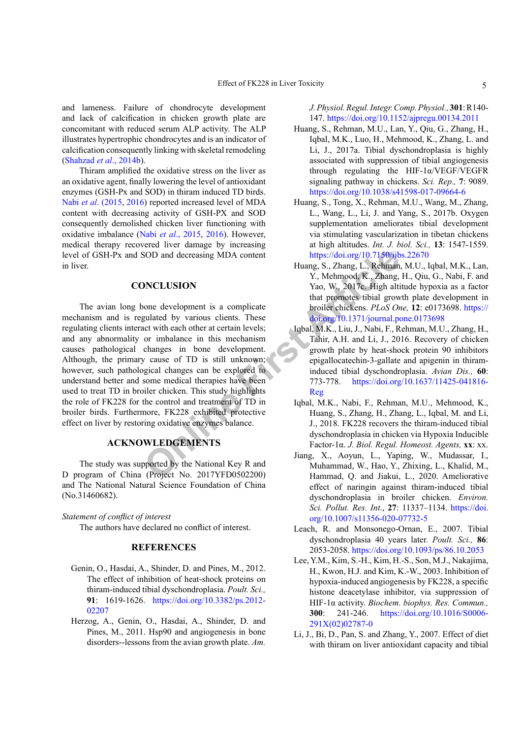and lameness. Failure of chondrocyte development and lack of calcification in chicken growth plate are concomitant with reduced serum ALP activity. The ALP illustrates hypertrophic chondrocytes and is an indicator of calcification consequently linking with skeletal remodeling [\(Shahzad](#page-5-13) *et al*., 2014b).

Thiram amplified the oxidative stress on the liver as an oxidative agent, finally lowering the level of antioxidant enzymes (GSH-Px and SOD) in thiram induced TD birds. Nabi *et al*[. \(2015](#page-5-14), [2016](#page-5-10)) reported increased level of MDA content with decreasing activity of GSH-PX and SOD consequently demolished chicken liver functioning with oxidative imbalance (Nabi *et al*[., 2015](#page-5-14), [2016](#page-5-10)). However, medical therapy recovered liver damage by increasing level of GSH-Px and SOD and decreasing MDA content in liver.

# **CONCLUSION**

SOD and decreasing MDA content<br>
Huang, S., Zhang, L., Rehman<br>
MCLUSION<br>
Muang, S., Zhang, Vao. Or, 2017<br>
artic[le](https://doi.org/10.7150/ijbs.22670) by various clients. These<br>
that promotes tibial grow<br>
that promotes tibial grow<br>
that promotes tibial grow<br>
t The avian long bone development is a complicate mechanism and is regulated by various clients. These regulating clients interact with each other at certain levels; and any abnormality or imbalance in this mechanism causes pathological changes in bone development. Although, the primary cause of TD is still unknown; however, such pathological changes can be explored to understand better and some medical therapies have been used to treat TD in broiler chicken. This study highlights the role of FK228 for the control and treatment of TD in broiler birds. Furthermore, FK228 exhibited protective effect on liver by restoring oxidative enzymes balance.

# **ACKNOWLEDGEMENTS**

The study was supported by the National Key R and D program of China (Project No. 2017YFD0502200) and The National Natural Science Foundation of China (No.31460682).

### *Statement of conflict of interest*

The authors have declared no conflict of interest.

# **REFERENCES**

- <span id="page-4-1"></span>Genin, O., Hasdai, A., Shinder, D. and Pines, M., 2012. The effect of inhibition of heat-shock proteins on thiram-induced tibial dyschondroplasia. *Poult. Sci.,*  **91**: 1619-1626. [https://doi.org/10.3382/ps.2012-](https://doi.org/10.3382/ps.2012-02207) [02207](https://doi.org/10.3382/ps.2012-02207)
- <span id="page-4-9"></span>Herzog, A., Genin, O., Hasdai, A., Shinder, D. and Pines, M., 2011. Hsp90 and angiogenesis in bone disorders--lessons from the avian growth plate. *Am.*

*J. Physiol. Regul. Integr. Comp. Physiol.,* **301**: R140- 147.<https://doi.org/10.1152/ajpregu.00134.2011>

- <span id="page-4-2"></span>Huang, S., Rehman, M.U., Lan, Y., Qiu, G., Zhang, H., Iqbal, M.K., Luo, H., Mehmood, K., Zhang, L. and Li, J., 2017a. Tibial dyschondroplasia is highly associated with suppression of tibial angiogenesis through regulating the HIF-1α/VEGF/VEGFR signaling pathway in chickens. *Sci. Rep.,* **7**: 9089. <https://doi.org/10.1038/s41598-017-09664-6>
- <span id="page-4-6"></span>Huang, S., Tong, X., Rehman, M.U., Wang, M., Zhang, L., Wang, L., Li, J. and Yang, S., 2017b. Oxygen supplementation ameliorates tibial development via stimulating vascularization in tibetan chickens at high altitudes. *Int. J. biol. Sci.,* **13**: 1547-1559. https://doi.org/10.7150/ijbs.22670
- <span id="page-4-7"></span>Huang, S., Zhang, L., Rehman, M.U., Iqbal, M.K., Lan, Y., Mehmood, K., Zhang, H., Qiu, G., Nabi, F. and Yao, W., 2017c. High altitude hypoxia as a factor that promotes tibial growth plate development in broiler chickens. *PLoS One,* **12**: e0173698. [https://](https://doi.org/10.1371/journal.pone.0173698) [doi.org/10.1371/journal.pone.0173698](https://doi.org/10.1371/journal.pone.0173698)
- <span id="page-4-8"></span>Iqbal, M.K., Liu, J., Nabi, F., Rehman, M.U., Zhang, H., Tahir, A.H. and Li, J., 2016. Recovery of chicken growth plate by heat-shock protein 90 inhibitors epigallocatechin-3-gallate and apigenin in thiraminduced tibial dyschondroplasia. *Avian Dis.,* **60**: 773-778. [https://doi.org/10.1637/11425-041816-](https://doi.org/10.1637/11425-041816-Reg) Reg
- <span id="page-4-5"></span>Iqbal, M.K., Nabi, F., Rehman, M.U., Mehmood, K., Huang, S., Zhang, H., Zhang, L., Iqbal, M. and Li, J., 2018. FK228 recovers the thiram-induced tibial dyschondroplasia in chicken via Hypoxia Inducible Factor-1α. *J. Biol. Regul. Homeost. Agents,* **xx**: xx.
- <span id="page-4-4"></span>Jiang, X., Aoyun, L., Yaping, W., Mudassar, I., Muhammad, W., Hao, Y., Zhixing, L., Khalid, M., Hammad, Q. and Jiakui, L., 2020. Ameliorative effect of naringin against thiram-induced tibial dyschondroplasia in broiler chicken. *Environ. Sci. Pollut. Res. Int*., **27**: 11337–1134. [https://doi.](https://doi.org/10.1007/s11356-020-07732-5) [org/10.1007/s11356-020-07732-5](https://doi.org/10.1007/s11356-020-07732-5)
- <span id="page-4-0"></span>Leach, R. and Monsonego-Ornan, E., 2007. Tibial dyschondroplasia 40 years later. *Poult. Sci.,* **86**: 2053-2058.<https://doi.org/10.1093/ps/86.10.2053>
- <span id="page-4-3"></span>Lee, Y.M., Kim, S.-H., Kim, H.-S., Son, M.J., Nakajima, H., Kwon, H.J. and Kim, K.-W., 2003. Inhibition of hypoxia-induced angiogenesis by FK228, a specific histone deacetylase inhibitor, via suppression of HIF-1α activity. *Biochem. biophys. Res. Commun.,*  **300**: 241-246. [https://doi.org/10.1016/S0006-](https://doi.org/10.1016/S0006-291X(02)02787-0) [291X\(02\)02787-0](https://doi.org/10.1016/S0006-291X(02)02787-0)
- <span id="page-4-10"></span>Li, J., Bi, D., Pan, S. and Zhang, Y., 2007. Effect of diet with thiram on liver antioxidant capacity and tibial